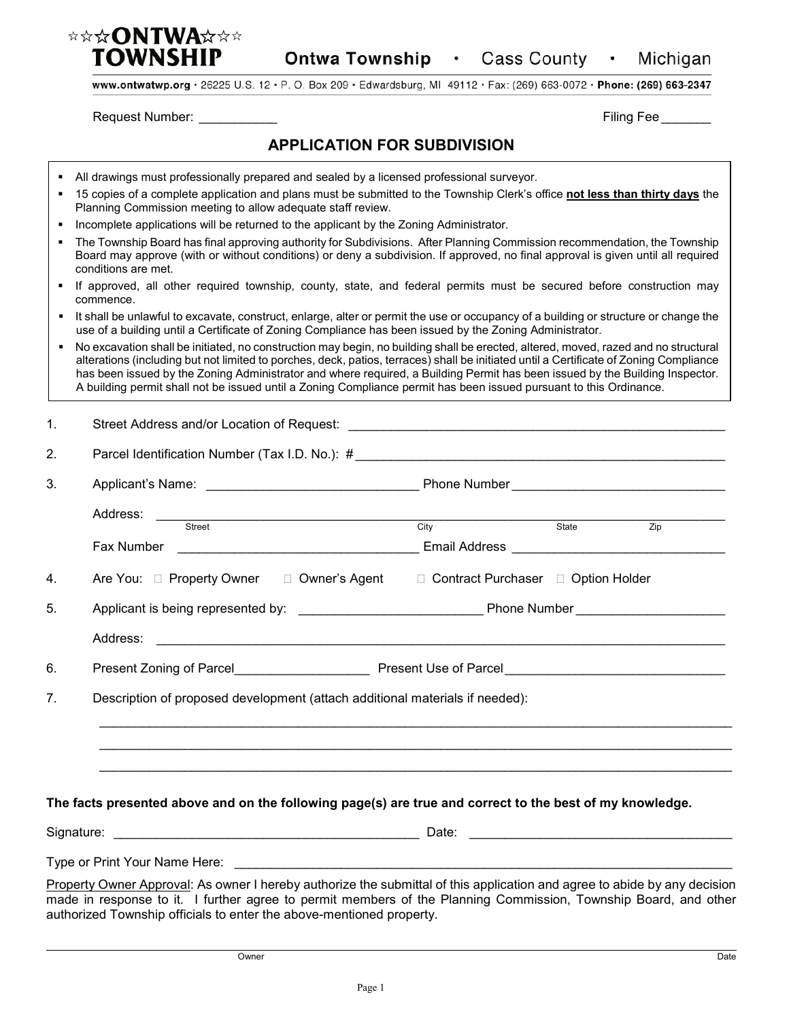

www.ontwatwp.org · 26225 U.S. 12 · P. O. Box 209 · Edwardsburg, MI 49112 · Fax: (269) 663-0072 · Phone: (269) 663-2347

Request Number: \_\_\_\_\_\_\_\_\_\_\_ Filing Fee \_\_\_\_\_\_\_

## **APPLICATION FOR SUBDIVISION**

- All drawings must professionally prepared and sealed by a licensed professional surveyor.
- 15 copies of a complete application and plans must be submitted to the Township Clerk's office **not less than thirty days** the Planning Commission meeting to allow adequate staff review.
- Incomplete applications will be returned to the applicant by the Zoning Administrator.
- The Township Board has final approving authority for Subdivisions. After Planning Commission recommendation, the Township Board may approve (with or without conditions) or deny a subdivision. If approved, no final approval is given until all required conditions are met.
- If approved, all other required township, county, state, and federal permits must be secured before construction may commence.
- It shall be unlawful to excavate, construct, enlarge, alter or permit the use or occupancy of a building or structure or change the use of a building until a Certificate of Zoning Compliance has been issued by the Zoning Administrator.
- No excavation shall be initiated, no construction may begin, no building shall be erected, altered, moved, razed and no structural alterations (including but not limited to porches, deck, patios, terraces) shall be initiated until a Certificate of Zoning Compliance has been issued by the Zoning Administrator and where required, a Building Permit has been issued by the Building Inspector. A building permit shall not be issued until a Zoning Compliance permit has been issued pursuant to this Ordinance.

| $\mathbf{1}$ . |                                                                                                                                                                                                                                                                                                                      |  |  |                  |  |
|----------------|----------------------------------------------------------------------------------------------------------------------------------------------------------------------------------------------------------------------------------------------------------------------------------------------------------------------|--|--|------------------|--|
| 2.             |                                                                                                                                                                                                                                                                                                                      |  |  |                  |  |
| 3.             |                                                                                                                                                                                                                                                                                                                      |  |  |                  |  |
|                | Address: Street State State State State State State State State State State State State State State State State State State State State State State State State State State State State State State State State State State St                                                                                       |  |  | $\overline{Zip}$ |  |
| 4.             | Are You: □ Property Owner □ Owner's Agent □ Contract Purchaser □ Option Holder                                                                                                                                                                                                                                       |  |  |                  |  |
| 5.             |                                                                                                                                                                                                                                                                                                                      |  |  |                  |  |
| 6.             |                                                                                                                                                                                                                                                                                                                      |  |  |                  |  |
| 7 <sub>1</sub> | Description of proposed development (attach additional materials if needed):                                                                                                                                                                                                                                         |  |  |                  |  |
|                |                                                                                                                                                                                                                                                                                                                      |  |  |                  |  |
|                | The facts presented above and on the following page(s) are true and correct to the best of my knowledge.                                                                                                                                                                                                             |  |  |                  |  |
|                |                                                                                                                                                                                                                                                                                                                      |  |  |                  |  |
|                |                                                                                                                                                                                                                                                                                                                      |  |  |                  |  |
|                | Property Owner Approval: As owner I hereby authorize the submittal of this application and agree to abide by any decision<br>made in response to it. I further agree to permit members of the Planning Commission, Township Board, and other<br>authorized Township officials to enter the above-mentioned property. |  |  |                  |  |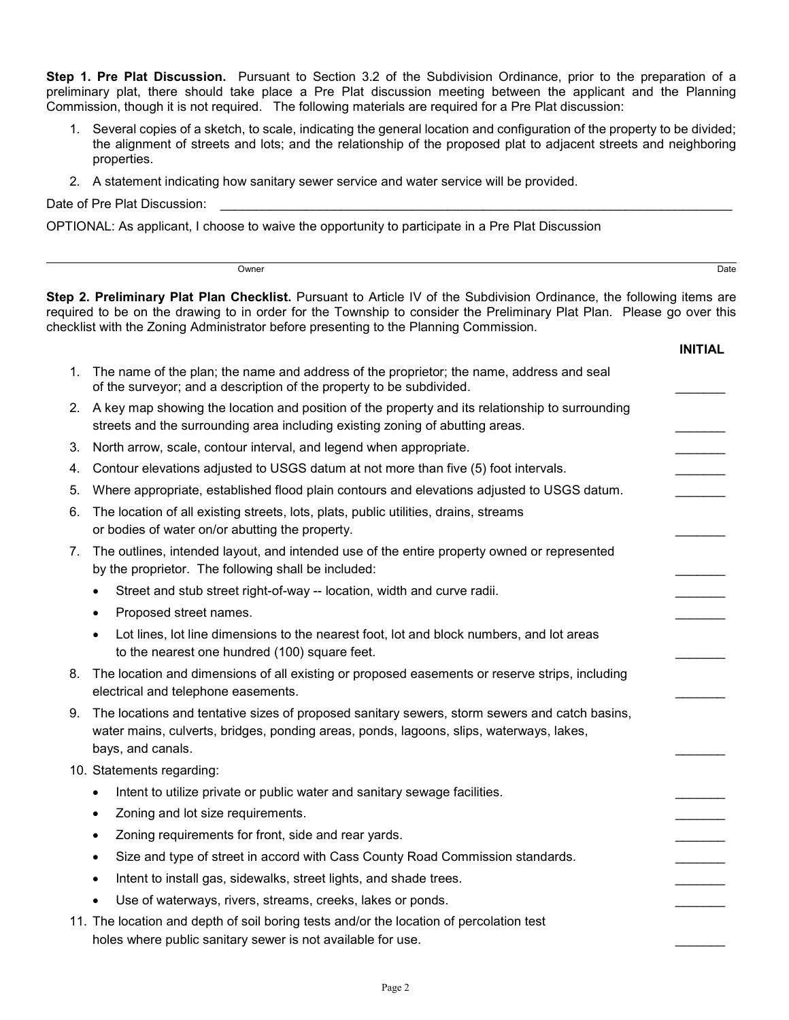**Step 1. Pre Plat Discussion.** Pursuant to Section 3.2 of the Subdivision Ordinance, prior to the preparation of a preliminary plat, there should take place a Pre Plat discussion meeting between the applicant and the Planning Commission, though it is not required. The following materials are required for a Pre Plat discussion:

- 1. Several copies of a sketch, to scale, indicating the general location and configuration of the property to be divided; the alignment of streets and lots; and the relationship of the proposed plat to adjacent streets and neighboring properties.
- 2. A statement indicating how sanitary sewer service and water service will be provided.

Date of Pre Plat Discussion:

OPTIONAL: As applicant, I choose to waive the opportunity to participate in a Pre Plat Discussion

Owner **Date of the Contract of the Contract of the Contract of the Contract of the Contract of the Date of the Date of the Date of the Contract of the Contract of the Contract of the Contract of the Contract of the Contrac** 

**Step 2. Preliminary Plat Plan Checklist.** Pursuant to Article IV of the Subdivision Ordinance, the following items are required to be on the drawing to in order for the Township to consider the Preliminary Plat Plan. Please go over this checklist with the Zoning Administrator before presenting to the Planning Commission.

|    |                                                                                                                                                                                                               | <b>INITIAL</b> |
|----|---------------------------------------------------------------------------------------------------------------------------------------------------------------------------------------------------------------|----------------|
| 1. | The name of the plan; the name and address of the proprietor; the name, address and seal<br>of the surveyor; and a description of the property to be subdivided.                                              |                |
| 2. | A key map showing the location and position of the property and its relationship to surrounding<br>streets and the surrounding area including existing zoning of abutting areas.                              |                |
| 3. | North arrow, scale, contour interval, and legend when appropriate.                                                                                                                                            |                |
| 4. | Contour elevations adjusted to USGS datum at not more than five (5) foot intervals.                                                                                                                           |                |
| 5. | Where appropriate, established flood plain contours and elevations adjusted to USGS datum.                                                                                                                    |                |
| 6. | The location of all existing streets, lots, plats, public utilities, drains, streams<br>or bodies of water on/or abutting the property.                                                                       |                |
| 7. | The outlines, intended layout, and intended use of the entire property owned or represented<br>by the proprietor. The following shall be included:                                                            |                |
|    | Street and stub street right-of-way -- location, width and curve radii.<br>$\bullet$                                                                                                                          |                |
|    | Proposed street names.<br>$\bullet$                                                                                                                                                                           |                |
|    | Lot lines, lot line dimensions to the nearest foot, lot and block numbers, and lot areas<br>to the nearest one hundred (100) square feet.                                                                     |                |
| 8. | The location and dimensions of all existing or proposed easements or reserve strips, including<br>electrical and telephone easements.                                                                         |                |
| 9. | The locations and tentative sizes of proposed sanitary sewers, storm sewers and catch basins,<br>water mains, culverts, bridges, ponding areas, ponds, lagoons, slips, waterways, lakes,<br>bays, and canals. |                |
|    | 10. Statements regarding:                                                                                                                                                                                     |                |
|    | Intent to utilize private or public water and sanitary sewage facilities.<br>$\bullet$                                                                                                                        |                |
|    | Zoning and lot size requirements.<br>$\bullet$                                                                                                                                                                |                |
|    | Zoning requirements for front, side and rear yards.<br>$\bullet$                                                                                                                                              |                |
|    | Size and type of street in accord with Cass County Road Commission standards.<br>$\bullet$                                                                                                                    |                |
|    | Intent to install gas, sidewalks, street lights, and shade trees.                                                                                                                                             |                |
|    | Use of waterways, rivers, streams, creeks, lakes or ponds.                                                                                                                                                    |                |
|    | 11. The location and depth of soil boring tests and/or the location of percolation test<br>holes where public sanitary sewer is not available for use.                                                        |                |